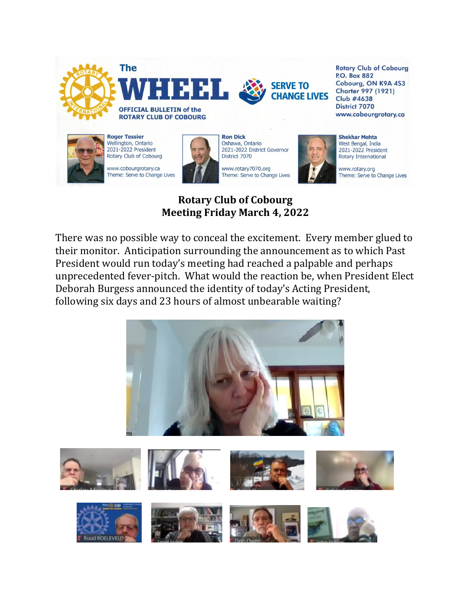

#### **Rotary Club of Cobourg Meeting Friday March 4, 2022**

There was no possible way to conceal the excitement. Every member glued to their monitor. Anticipation surrounding the announcement as to which Past President would run today's meeting had reached a palpable and perhaps unprecedented fever-pitch. What would the reaction be, when President Elect Deborah Burgess announced the identity of today's Acting President, following six days and 23 hours of almost unbearable waiting?

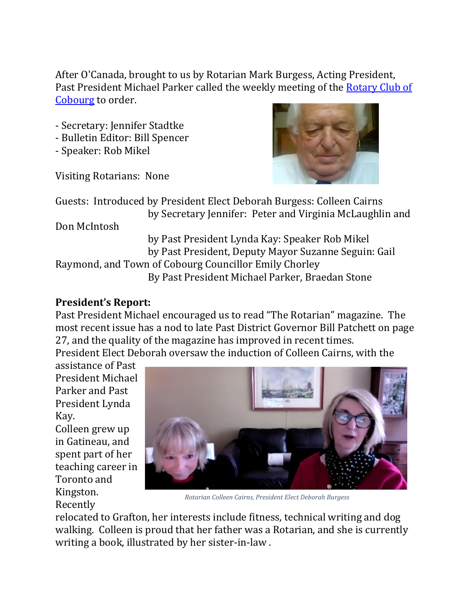After O'Canada, brought to us by Rotarian Mark Burgess, Acting President, Past President Michael Parker called the weekly meeting of the [Rotary Club of](http://cobourgrotary.ca/)  [Cobourg](http://cobourgrotary.ca/) to order.

- Secretary: Jennifer Stadtke
- Bulletin Editor: Bill Spencer
- Speaker: Rob Mikel

Visiting Rotarians: None



Guests: Introduced by President Elect Deborah Burgess: Colleen Cairns by Secretary Jennifer: Peter and Virginia McLaughlin and

Don McIntosh

 by Past President Lynda Kay: Speaker Rob Mikel by Past President, Deputy Mayor Suzanne Seguin: Gail Raymond, and Town of Cobourg Councillor Emily Chorley By Past President Michael Parker, Braedan Stone

# **President's Report:**

Past President Michael encouraged us to read "The Rotarian" magazine. The most recent issue has a nod to late Past District Governor Bill Patchett on page 27, and the quality of the magazine has improved in recent times.

President Elect Deborah oversaw the induction of Colleen Cairns, with the

assistance of Past President Michael Parker and Past President Lynda Kay.

Colleen grew up in Gatineau, and spent part of her teaching career in Toronto and Kingston.

Recently



 *Rotarian Colleen Cairns, President Elect Deborah Burgess*

relocated to Grafton, her interests include fitness, technical writing and dog walking. Colleen is proud that her father was a Rotarian, and she is currently writing a book, illustrated by her sister-in-law .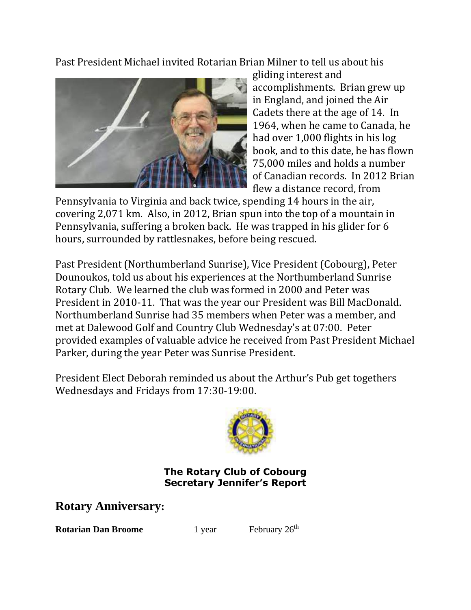Past President Michael invited Rotarian Brian Milner to tell us about his



gliding interest and accomplishments. Brian grew up in England, and joined the Air Cadets there at the age of 14. In 1964, when he came to Canada, he had over 1,000 flights in his log book, and to this date, he has flown 75,000 miles and holds a number of Canadian records. In 2012 Brian flew a distance record, from

Pennsylvania to Virginia and back twice, spending 14 hours in the air, covering 2,071 km. Also, in 2012, Brian spun into the top of a mountain in Pennsylvania, suffering a broken back. He was trapped in his glider for 6 hours, surrounded by rattlesnakes, before being rescued.

Past President (Northumberland Sunrise), Vice President (Cobourg), Peter Dounoukos, told us about his experiences at the Northumberland Sunrise Rotary Club. We learned the club was formed in 2000 and Peter was President in 2010-11. That was the year our President was Bill MacDonald. Northumberland Sunrise had 35 members when Peter was a member, and met at Dalewood Golf and Country Club Wednesday's at 07:00. Peter provided examples of valuable advice he received from Past President Michael Parker, during the year Peter was Sunrise President.

President Elect Deborah reminded us about the Arthur's Pub get togethers Wednesdays and Fridays from 17:30-19:00.



#### **The Rotary Club of Cobourg Secretary Jennifer's Report**

**Rotary Anniversary:** 

**Rotarian Dan Broome** 1 year February 26<sup>th</sup>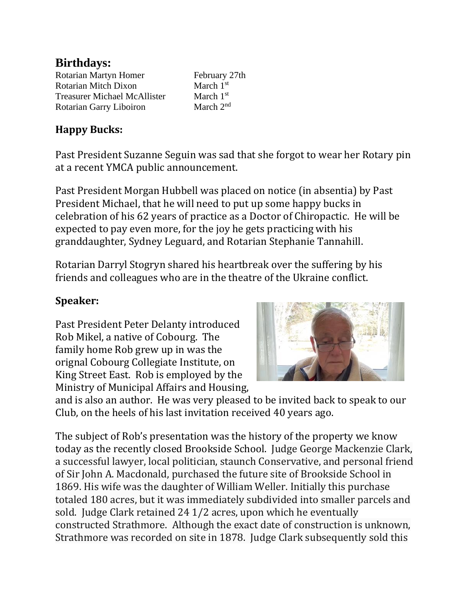## **Birthdays:**

| Rotarian Martyn Homer               | February 27th |
|-------------------------------------|---------------|
| <b>Rotarian Mitch Dixon</b>         | March $1st$   |
| <b>Treasurer Michael McAllister</b> | March $1st$   |
| Rotarian Garry Liboiron             | March $2nd$   |

## **Happy Bucks:**

Past President Suzanne Seguin was sad that she forgot to wear her Rotary pin at a recent YMCA public announcement.

Past President Morgan Hubbell was placed on notice (in absentia) by Past President Michael, that he will need to put up some happy bucks in celebration of his 62 years of practice as a Doctor of Chiropactic. He will be expected to pay even more, for the joy he gets practicing with his granddaughter, Sydney Leguard, and Rotarian Stephanie Tannahill.

Rotarian Darryl Stogryn shared his heartbreak over the suffering by his friends and colleagues who are in the theatre of the Ukraine conflict.

# **Speaker:**

Past President Peter Delanty introduced Rob Mikel, a native of Cobourg. The family home Rob grew up in was the orignal Cobourg Collegiate Institute, on King Street East. Rob is employed by the Ministry of Municipal Affairs and Housing,



and is also an author. He was very pleased to be invited back to speak to our Club, on the heels of his last invitation received 40 years ago.

The subject of Rob's presentation was the history of the property we know today as the recently closed Brookside School. Judge George Mackenzie Clark, a successful lawyer, local politician, staunch Conservative, and personal friend of Sir John A. Macdonald, purchased the future site of Brookside School in 1869. His wife was the daughter of William Weller. Initially this purchase totaled 180 acres, but it was immediately subdivided into smaller parcels and sold. Judge Clark retained 24 1/2 acres, upon which he eventually constructed Strathmore. Although the exact date of construction is unknown, Strathmore was recorded on site in 1878. Judge Clark subsequently sold this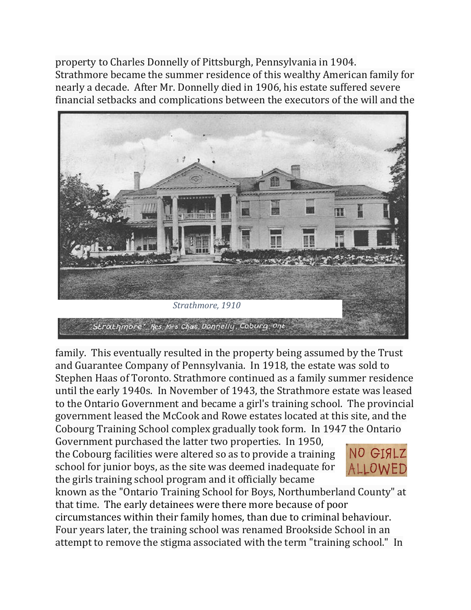property to Charles Donnelly of Pittsburgh, Pennsylvania in 1904. Strathmore became the summer residence of this wealthy American family for nearly a decade. After Mr. Donnelly died in 1906, his estate suffered severe financial setbacks and complications between the executors of the will and the



family. This eventually resulted in the property being assumed by the Trust and Guarantee Company of Pennsylvania. In 1918, the estate was sold to Stephen Haas of Toronto. Strathmore continued as a family summer residence until the early 1940s. In November of 1943, the Strathmore estate was leased to the Ontario Government and became a girl's training school. The provincial government leased the McCook and Rowe estates located at this site, and the Cobourg Training School complex gradually took form. In 1947 the Ontario

Government purchased the latter two properties. In 1950, the Cobourg facilities were altered so as to provide a training school for junior boys, as the site was deemed inadequate for the girls training school program and it officially became



known as the "Ontario Training School for Boys, Northumberland County" at that time. The early detainees were there more because of poor

circumstances within their family homes, than due to criminal behaviour. Four years later, the training school was renamed Brookside School in an attempt to remove the stigma associated with the term "training school." In